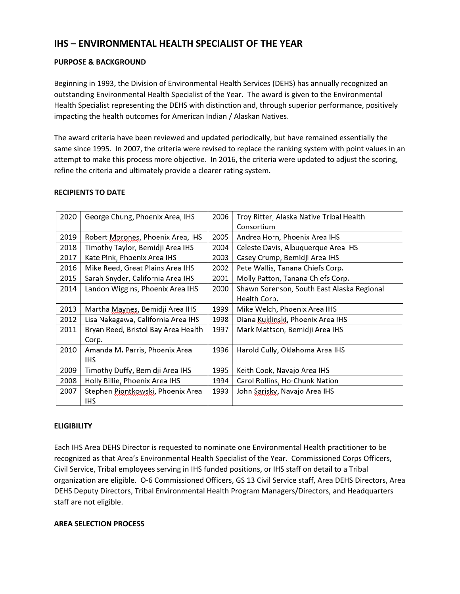# **IHS – ENVIRONMENTAL HEALTH SPECIALIST OF THE YEAR**

## **PURPOSE & BACKGROUND**

Beginning in 1993, the Division of Environmental Health Services (DEHS) has annually recognized an outstanding Environmental Health Specialist of the Year. The award is given to the Environmental Health Specialist representing the DEHS with distinction and, through superior performance, positively impacting the health outcomes for American Indian / Alaskan Natives.

The award criteria have been reviewed and updated periodically, but have remained essentially the same since 1995. In 2007, the criteria were revised to replace the ranking system with point values in an attempt to make this process more objective. In 2016, the criteria were updated to adjust the scoring, refine the criteria and ultimately provide a clearer rating system.

| 2020 | George Chung, Phoenix Area, IHS     | 2006 | Troy Ritter, Alaska Native Tribal Health   |  |
|------|-------------------------------------|------|--------------------------------------------|--|
|      |                                     |      | Consortium                                 |  |
| 2019 | Robert Morones, Phoenix Area, IHS   | 2005 | Andrea Horn, Phoenix Area IHS              |  |
| 2018 | Timothy Taylor, Bemidji Area IHS    | 2004 | Celeste Davis, Albuquerque Area IHS        |  |
| 2017 | Kate Pink, Phoenix Area IHS         | 2003 | Casey Crump, Bemidji Area IHS              |  |
| 2016 | Mike Reed, Great Plains Area IHS    | 2002 | Pete Wallis, Tanana Chiefs Corp.           |  |
| 2015 | Sarah Snyder, California Area IHS   | 2001 | Molly Patton, Tanana Chiefs Corp.          |  |
| 2014 | Landon Wiggins, Phoenix Area IHS    | 2000 | Shawn Sorenson, South East Alaska Regional |  |
|      |                                     |      | Health Corp.                               |  |
| 2013 | Martha Maynes, Bemidji Area IHS     | 1999 | Mike Welch, Phoenix Area IHS               |  |
| 2012 | Lisa Nakagawa, California Area IHS  | 1998 | Diana Kuklinski, Phoenix Area IHS          |  |
| 2011 | Bryan Reed, Bristol Bay Area Health | 1997 | Mark Mattson, Bemidji Area IHS             |  |
|      | Corp.                               |      |                                            |  |
| 2010 | Amanda M. Parris, Phoenix Area      | 1996 | Harold Cully, Oklahoma Area IHS            |  |
|      | <b>IHS</b>                          |      |                                            |  |
| 2009 | Timothy Duffy, Bemidji Area IHS     | 1995 | Keith Cook, Navajo Area IHS                |  |
| 2008 | Holly Billie, Phoenix Area IHS      | 1994 | Carol Rollins, Ho-Chunk Nation             |  |
| 2007 | Stephen Piontkowski, Phoenix Area   | 1993 | John Sarisky, Navajo Area IHS              |  |
|      | ihs                                 |      |                                            |  |

#### **RECIPIENTS TO DATE**

#### **ELIGIBILITY**

Each IHS Area DEHS Director is requested to nominate one Environmental Health practitioner to be recognized as that Area's Environmental Health Specialist of the Year. Commissioned Corps Officers, Civil Service, Tribal employees serving in IHS funded positions, or IHS staff on detail to a Tribal organization are eligible. O-6 Commissioned Officers, GS 13 Civil Service staff, Area DEHS Directors, Area DEHS Deputy Directors, Tribal Environmental Health Program Managers/Directors, and Headquarters staff are not eligible.

## **AREA SELECTION PROCESS**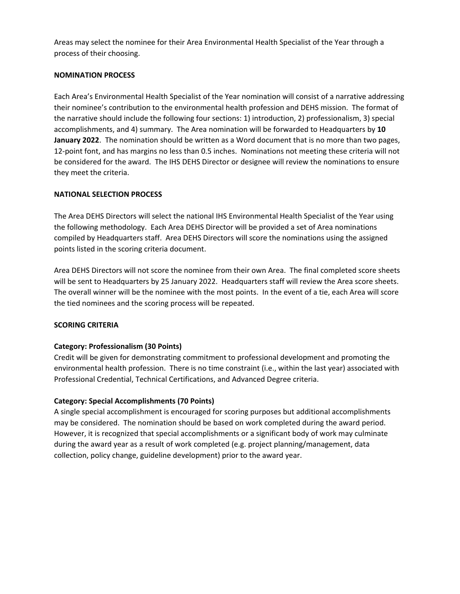Areas may select the nominee for their Area Environmental Health Specialist of the Year through a process of their choosing.

#### **NOMINATION PROCESS**

Each Area's Environmental Health Specialist of the Year nomination will consist of a narrative addressing their nominee's contribution to the environmental health profession and DEHS mission. The format of the narrative should include the following four sections: 1) introduction, 2) professionalism, 3) special accomplishments, and 4) summary. The Area nomination will be forwarded to Headquarters by **10 January 2022**. The nomination should be written as a Word document that is no more than two pages, 12-point font, and has margins no less than 0.5 inches. Nominations not meeting these criteria will not be considered for the award. The IHS DEHS Director or designee will review the nominations to ensure they meet the criteria.

## **NATIONAL SELECTION PROCESS**

The Area DEHS Directors will select the national IHS Environmental Health Specialist of the Year using the following methodology. Each Area DEHS Director will be provided a set of Area nominations compiled by Headquarters staff. Area DEHS Directors will score the nominations using the assigned points listed in the scoring criteria document.

Area DEHS Directors will not score the nominee from their own Area. The final completed score sheets will be sent to Headquarters by 25 January 2022. Headquarters staff will review the Area score sheets. The overall winner will be the nominee with the most points. In the event of a tie, each Area will score the tied nominees and the scoring process will be repeated.

## **SCORING CRITERIA**

## **Category: Professionalism (30 Points)**

Credit will be given for demonstrating commitment to professional development and promoting the environmental health profession. There is no time constraint (i.e., within the last year) associated with Professional Credential, Technical Certifications, and Advanced Degree criteria.

## **Category: Special Accomplishments (70 Points)**

A single special accomplishment is encouraged for scoring purposes but additional accomplishments may be considered. The nomination should be based on work completed during the award period. However, it is recognized that special accomplishments or a significant body of work may culminate during the award year as a result of work completed (e.g. project planning/management, data collection, policy change, guideline development) prior to the award year.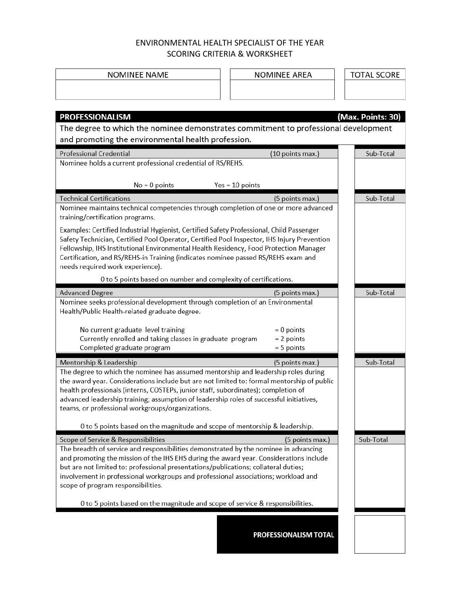# ENVIRONMENTAL HEALTH SPECIALIST OF THE YEAR SCORING CRITERIA & WORKSHEET

| <b>NOMINEE NAME</b>                                                                                                                                                            | <b>NOMINEE AREA</b>   | <b>TOTAL SCORE</b> |  |  |  |  |
|--------------------------------------------------------------------------------------------------------------------------------------------------------------------------------|-----------------------|--------------------|--|--|--|--|
|                                                                                                                                                                                |                       |                    |  |  |  |  |
|                                                                                                                                                                                |                       |                    |  |  |  |  |
| <b>PROFESSIONALISM</b>                                                                                                                                                         |                       | (Max. Points: 30)  |  |  |  |  |
| The degree to which the nominee demonstrates commitment to professional development                                                                                            |                       |                    |  |  |  |  |
| and promoting the environmental health profession.                                                                                                                             |                       |                    |  |  |  |  |
| <b>Professional Credential</b>                                                                                                                                                 | (10 points max.)      | Sub-Total          |  |  |  |  |
| Nominee holds a current professional credential of RS/REHS.                                                                                                                    |                       |                    |  |  |  |  |
| $No = 0$ points                                                                                                                                                                | $Yes = 10 points$     |                    |  |  |  |  |
| <b>Technical Certifications</b>                                                                                                                                                | (5 points max.)       | Sub-Total          |  |  |  |  |
| Nominee maintains technical competencies through completion of one or more advanced                                                                                            |                       |                    |  |  |  |  |
| training/certification programs.                                                                                                                                               |                       |                    |  |  |  |  |
| Examples: Certified Industrial Hygienist, Certified Safety Professional, Child Passenger                                                                                       |                       |                    |  |  |  |  |
| Safety Technician, Certified Pool Operator, Certified Pool Inspector, IHS Injury Prevention                                                                                    |                       |                    |  |  |  |  |
| Fellowship, IHS Institutional Environmental Health Residency, Food Protection Manager<br>Certification, and RS/REHS-in Training (indicates nominee passed RS/REHS exam and     |                       |                    |  |  |  |  |
| needs required work experience).                                                                                                                                               |                       |                    |  |  |  |  |
| 0 to 5 points based on number and complexity of certifications.                                                                                                                |                       |                    |  |  |  |  |
| <b>Advanced Degree</b>                                                                                                                                                         | (5 points max.)       | Sub-Total          |  |  |  |  |
| Nominee seeks professional development through completion of an Environmental                                                                                                  |                       |                    |  |  |  |  |
| Health/Public Health-related graduate degree.                                                                                                                                  |                       |                    |  |  |  |  |
| No current graduate level training                                                                                                                                             | $= 0$ points          |                    |  |  |  |  |
| Currently enrolled and taking classes in graduate program                                                                                                                      | $= 2$ points          |                    |  |  |  |  |
| Completed graduate program                                                                                                                                                     | $= 5$ points          |                    |  |  |  |  |
| Mentorship & Leadership                                                                                                                                                        | (5 points max.)       | Sub-Total          |  |  |  |  |
| The degree to which the nominee has assumed mentorship and leadership roles during                                                                                             |                       |                    |  |  |  |  |
| the award year. Considerations include but are not limited to: formal mentorship of public                                                                                     |                       |                    |  |  |  |  |
| health professionals (interns, COSTEPs, junior staff, subordinates); completion of                                                                                             |                       |                    |  |  |  |  |
| advanced leadership training; assumption of leadership roles of successful initiatives,<br>teams, or professional workgroups/organizations.                                    |                       |                    |  |  |  |  |
|                                                                                                                                                                                |                       |                    |  |  |  |  |
| 0 to 5 points based on the magnitude and scope of mentorship & leadership.                                                                                                     |                       |                    |  |  |  |  |
| Scope of Service & Responsibilities                                                                                                                                            | (5 points max.)       | Sub-Total          |  |  |  |  |
| The breadth of service and responsibilities demonstrated by the nominee in advancing<br>and promoting the mission of the IHS EHS during the award year. Considerations include |                       |                    |  |  |  |  |
| but are not limited to: professional presentations/publications; collateral duties;                                                                                            |                       |                    |  |  |  |  |
| involvement in professional workgroups and professional associations; workload and                                                                                             |                       |                    |  |  |  |  |
| scope of program responsibilities.                                                                                                                                             |                       |                    |  |  |  |  |
| 0 to 5 points based on the magnitude and scope of service & responsibilities.                                                                                                  |                       |                    |  |  |  |  |
|                                                                                                                                                                                |                       |                    |  |  |  |  |
|                                                                                                                                                                                |                       |                    |  |  |  |  |
|                                                                                                                                                                                | PROFESSIONALISM TOTAL |                    |  |  |  |  |
|                                                                                                                                                                                |                       |                    |  |  |  |  |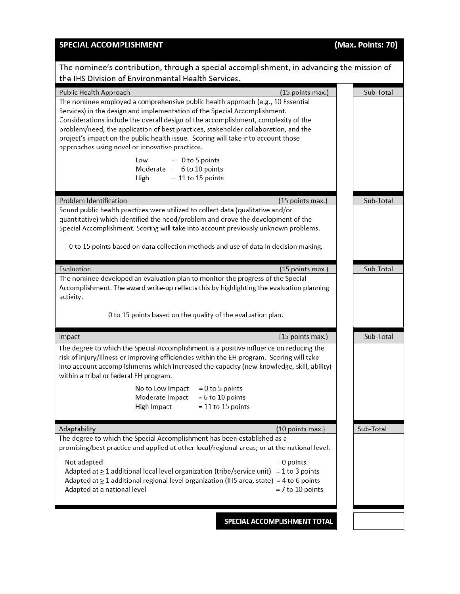| <b>SPECIAL ACCOMPLISHMENT</b>                                                                                                                                                                                                                                                                                                                                                                                                                                                                                                                                                                                             | (Max. Points: 70) |
|---------------------------------------------------------------------------------------------------------------------------------------------------------------------------------------------------------------------------------------------------------------------------------------------------------------------------------------------------------------------------------------------------------------------------------------------------------------------------------------------------------------------------------------------------------------------------------------------------------------------------|-------------------|
| The nominee's contribution, through a special accomplishment, in advancing the mission of<br>the IHS Division of Environmental Health Services.                                                                                                                                                                                                                                                                                                                                                                                                                                                                           |                   |
| Public Health Approach<br>(15 points max.)<br>The nominee employed a comprehensive public health approach (e.g., 10 Essential<br>Services) in the design and implementation of the Special Accomplishment.<br>Considerations include the overall design of the accomplishment, complexity of the<br>problem/need, the application of best practices, stakeholder collaboration, and the<br>project's impact on the public health issue. Scoring will take into account those<br>approaches using novel or innovative practices.<br>$= 0$ to 5 points<br>Low<br>Moderate = $6$ to 10 points<br>$= 11$ to 15 points<br>High | Sub-Total         |
| Problem Identification<br>(15 points max.)<br>Sound public health practices were utilized to collect data (qualitative and/or<br>quantitative) which identified the need/problem and drove the development of the<br>Special Accomplishment. Scoring will take into account previously unknown problems.<br>0 to 15 points based on data collection methods and use of data in decision making.                                                                                                                                                                                                                           | Sub-Total         |
| Evaluation<br>(15 points max.)<br>The nominee developed an evaluation plan to monitor the progress of the Special<br>Accomplishment. The award write-up reflects this by highlighting the evaluation planning<br>activity.<br>0 to 15 points based on the quality of the evaluation plan.                                                                                                                                                                                                                                                                                                                                 | Sub-Total         |
| (15 points max.)<br>Impact                                                                                                                                                                                                                                                                                                                                                                                                                                                                                                                                                                                                | Sub-Total         |
| The degree to which the Special Accomplishment is a positive influence on reducing the<br>risk of injury/illness or improving efficiencies within the EH program. Scoring will take<br>into account accomplishments which increased the capacity (new knowledge, skill, ability)<br>within a tribal or federal EH program.<br>No to Low Impact<br>$= 0$ to 5 points<br>Moderate Impact<br>$= 6$ to 10 points<br>High Impact<br>$= 11$ to 15 points                                                                                                                                                                        |                   |
| Adaptability<br>(10 points max.)                                                                                                                                                                                                                                                                                                                                                                                                                                                                                                                                                                                          | Sub-Total         |
| The degree to which the Special Accomplishment has been established as a<br>promising/best practice and applied at other local/regional areas; or at the national level.                                                                                                                                                                                                                                                                                                                                                                                                                                                  |                   |
| Not adapted<br>$= 0$ points<br>Adapted at $\geq 1$ additional local level organization (tribe/service unit) = 1 to 3 points<br>Adapted at $\geq 1$ additional regional level organization (IHS area, state) = 4 to 6 points<br>Adapted at a national level<br>$= 7$ to 10 points                                                                                                                                                                                                                                                                                                                                          |                   |

SPECIAL ACCOMPLISHMENT TOTAL